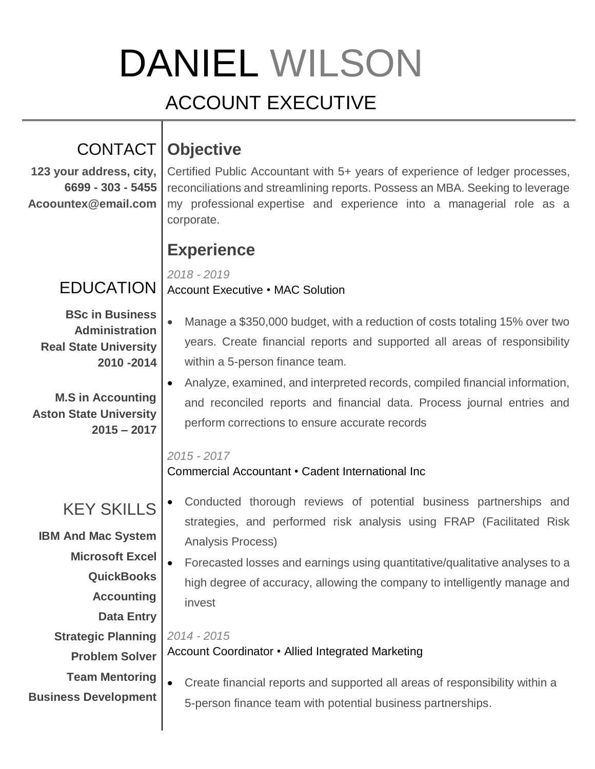# DANIEL WILSON

# ACCOUNT EXECUTIVE

# CONTACT **Objective**

**123 your address, city, 6699 - 303 - 5455 Acoountex@email.com**

## Certified Public Accountant with 5+ years of experience of ledger processes, reconciliations and streamlining reports. Possess an MBA. Seeking to leverage my professional expertise and experience into a managerial role as a corporate.

## **Experience**

*2018 - 2019*

#### **EDUCATION** Account Executive • MAC Solution

**BSc in Business Administration Real State University 2010 -2014**

**M.S in Accounting Aston State University 2015 – 2017**

- Manage a \$350,000 budget, with a reduction of costs totaling 15% over two years. Create financial reports and supported all areas of responsibility within a 5-person finance team.
	- Analyze, examined, and interpreted records, compiled financial information, and reconciled reports and financial data. Process journal entries and perform corrections to ensure accurate records

### *2015 - 2017*

*2014 - 2015*

## Commercial Accountant • Cadent International Inc

#### KEY SKILLS **IBM And Mac System** Conducted thorough reviews of potential business partnerships and strategies, and performed risk analysis using FRAP (Facilitated Risk Analysis Process)

**Microsoft Excel QuickBooks Accounting Data Entry** Forecasted losses and earnings using quantitative/qualitative analyses to a high degree of accuracy, allowing the company to intelligently manage and invest

Account Coordinator • Allied Integrated Marketing

**Strategic Planning Problem Solver Team Mentoring**

**Business Development**

 Create financial reports and supported all areas of responsibility within a 5-person finance team with potential business partnerships.